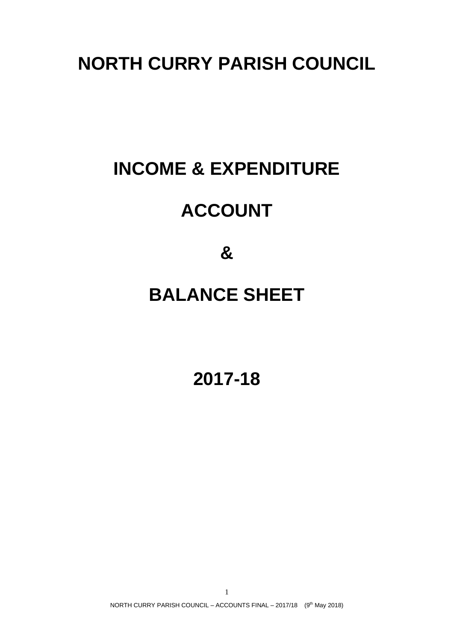### **NORTH CURRY PARISH COUNCIL**

# **INCOME & EXPENDITURE**

## **ACCOUNT**

**&**

## **BALANCE SHEET**

**2017-18**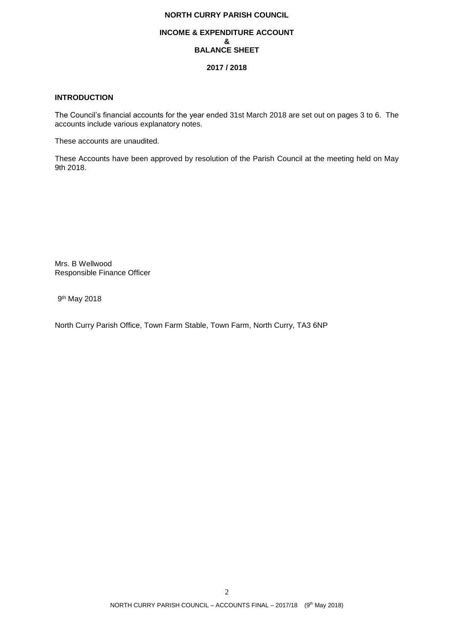### **NORTH CURRY PARISH COUNCIL**

#### **INCOME & EXPENDITURE ACCOUNT & BALANCE SHEET**

#### **2017 / 2018**

#### **INTRODUCTION**

The Council's financial accounts for the year ended 31st March 2018 are set out on pages 3 to 6. The accounts include various explanatory notes.

These accounts are unaudited.

These Accounts have been approved by resolution of the Parish Council at the meeting held on May 9th 2018.

Mrs. B Wellwood Responsible Finance Officer

9<sup>th</sup> May 2018

North Curry Parish Office, Town Farm Stable, Town Farm, North Curry, TA3 6NP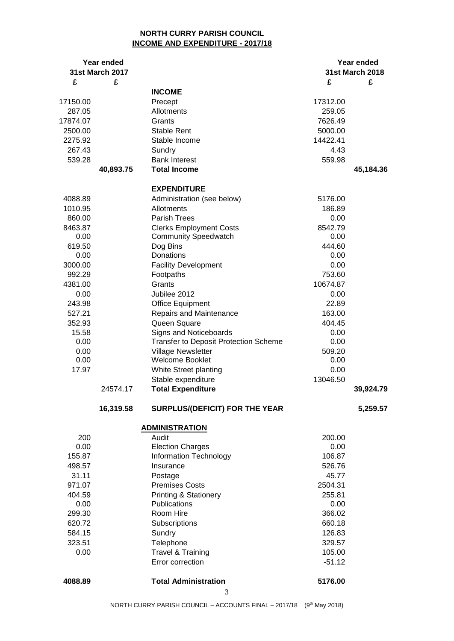### **NORTH CURRY PARISH COUNCIL INCOME AND EXPENDITURE - 2017/18**

| Year ended<br><b>31st March 2017</b> |           | Year ended                                   |          |                        |
|--------------------------------------|-----------|----------------------------------------------|----------|------------------------|
|                                      |           |                                              |          | <b>31st March 2018</b> |
| £                                    | £         |                                              | £        | £                      |
|                                      |           | <b>INCOME</b>                                |          |                        |
| 17150.00                             |           | Precept                                      | 17312.00 |                        |
| 287.05                               |           | Allotments                                   | 259.05   |                        |
| 17874.07                             |           | Grants                                       | 7626.49  |                        |
| 2500.00                              |           | Stable Rent                                  | 5000.00  |                        |
| 2275.92                              |           | Stable Income                                | 14422.41 |                        |
| 267.43                               |           | Sundry                                       | 4.43     |                        |
| 539.28                               |           | <b>Bank Interest</b>                         | 559.98   |                        |
|                                      | 40,893.75 | <b>Total Income</b>                          |          | 45,184.36              |
|                                      |           | <b>EXPENDITURE</b>                           |          |                        |
| 4088.89                              |           | Administration (see below)                   | 5176.00  |                        |
| 1010.95                              |           | Allotments                                   | 186.89   |                        |
| 860.00                               |           | Parish Trees                                 | 0.00     |                        |
| 8463.87                              |           | <b>Clerks Employment Costs</b>               | 8542.79  |                        |
| 0.00                                 |           | <b>Community Speedwatch</b>                  | 0.00     |                        |
| 619.50                               |           | Dog Bins                                     | 444.60   |                        |
| 0.00                                 |           | Donations                                    | 0.00     |                        |
| 3000.00                              |           | <b>Facility Development</b>                  | 0.00     |                        |
| 992.29                               |           | Footpaths                                    | 753.60   |                        |
| 4381.00                              |           | Grants                                       | 10674.87 |                        |
| 0.00                                 |           | Jubilee 2012                                 | 0.00     |                        |
| 243.98                               |           | <b>Office Equipment</b>                      | 22.89    |                        |
| 527.21                               |           | Repairs and Maintenance                      | 163.00   |                        |
| 352.93                               |           | Queen Square                                 | 404.45   |                        |
| 15.58                                |           | Signs and Noticeboards                       | 0.00     |                        |
| 0.00                                 |           | <b>Transfer to Deposit Protection Scheme</b> | 0.00     |                        |
| 0.00                                 |           | Village Newsletter                           | 509.20   |                        |
| 0.00                                 |           | <b>Welcome Booklet</b>                       | 0.00     |                        |
| 17.97                                |           | White Street planting                        | 0.00     |                        |
|                                      |           | Stable expenditure                           | 13046.50 |                        |
|                                      | 24574.17  | <b>Total Expenditure</b>                     |          | 39,924.79              |
|                                      |           |                                              |          |                        |
|                                      | 16,319.58 | <b>SURPLUS/(DEFICIT) FOR THE YEAR</b>        |          | 5,259.57               |
|                                      |           | <b>ADMINISTRATION</b>                        |          |                        |
| 200                                  |           | Audit                                        | 200.00   |                        |
| 0.00                                 |           | <b>Election Charges</b>                      | 0.00     |                        |
| 155.87                               |           | Information Technology                       | 106.87   |                        |
| 498.57                               |           | Insurance                                    | 526.76   |                        |
| 31.11                                |           | Postage                                      | 45.77    |                        |
| 971.07                               |           | <b>Premises Costs</b>                        | 2504.31  |                        |
| 404.59                               |           | <b>Printing &amp; Stationery</b>             | 255.81   |                        |
| 0.00                                 |           | <b>Publications</b>                          | 0.00     |                        |
| 299.30                               |           | Room Hire                                    | 366.02   |                        |
| 620.72                               |           | Subscriptions                                | 660.18   |                        |
| 584.15                               |           | Sundry                                       | 126.83   |                        |
| 323.51                               |           | Telephone                                    | 329.57   |                        |
| 0.00                                 |           | Travel & Training                            | 105.00   |                        |
|                                      |           | Error correction                             | $-51.12$ |                        |
| 4088.89                              |           | <b>Total Administration</b>                  | 5176.00  |                        |
|                                      |           | 3                                            |          |                        |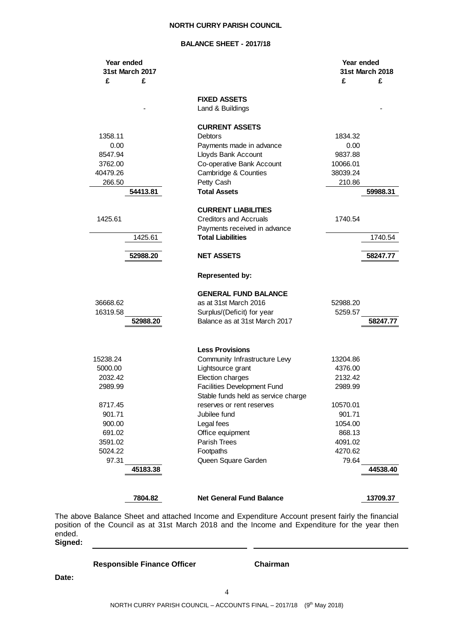#### **NORTH CURRY PARISH COUNCIL**

#### **BALANCE SHEET - 2017/18**

| Year ended<br>31st March 2017 |          |                                     | Year ended<br>31st March 2018 |          |
|-------------------------------|----------|-------------------------------------|-------------------------------|----------|
|                               |          |                                     |                               |          |
| £                             | £        |                                     | £                             | £        |
|                               |          |                                     |                               |          |
|                               |          | <b>FIXED ASSETS</b>                 |                               |          |
|                               |          | Land & Buildings                    |                               |          |
|                               |          |                                     |                               |          |
|                               |          | <b>CURRENT ASSETS</b>               |                               |          |
| 1358.11                       |          | <b>Debtors</b>                      | 1834.32                       |          |
| 0.00                          |          | Payments made in advance            | 0.00                          |          |
| 8547.94                       |          | Lloyds Bank Account                 | 9837.88                       |          |
| 3762.00                       |          | Co-operative Bank Account           | 10066.01                      |          |
| 40479.26                      |          | Cambridge & Counties                | 38039.24                      |          |
| 266.50                        |          | Petty Cash                          | 210.86                        |          |
|                               | 54413.81 | <b>Total Assets</b>                 |                               | 59988.31 |
|                               |          |                                     |                               |          |
|                               |          | <b>CURRENT LIABILITIES</b>          |                               |          |
| 1425.61                       |          | <b>Creditors and Accruals</b>       | 1740.54                       |          |
|                               |          | Payments received in advance        |                               |          |
|                               | 1425.61  | <b>Total Liabilities</b>            |                               | 1740.54  |
|                               | 52988.20 | <b>NET ASSETS</b>                   |                               | 58247.77 |
|                               |          |                                     |                               |          |
|                               |          | <b>Represented by:</b>              |                               |          |
|                               |          | <b>GENERAL FUND BALANCE</b>         |                               |          |
| 36668.62                      |          | as at 31st March 2016               | 52988.20                      |          |
| 16319.58                      |          | Surplus/(Deficit) for year          | 5259.57                       |          |
|                               | 52988.20 | Balance as at 31st March 2017       |                               | 58247.77 |
|                               |          |                                     |                               |          |
|                               |          | <b>Less Provisions</b>              |                               |          |
| 15238.24                      |          | Community Infrastructure Levy       | 13204.86                      |          |
| 5000.00                       |          | Lightsource grant                   | 4376.00                       |          |
| 2032.42                       |          | Election charges                    | 2132.42                       |          |
| 2989.99                       |          | Facilities Development Fund         | 2989.99                       |          |
|                               |          | Stable funds held as service charge |                               |          |
| 8717.45                       |          | reserves or rent reserves           | 10570.01                      |          |
| 901.71                        |          | Jubilee fund                        | 901.71                        |          |
| 900.00                        |          | Legal fees                          | 1054.00                       |          |
| 691.02                        |          | Office equipment                    | 868.13                        |          |
| 3591.02                       |          | Parish Trees                        | 4091.02                       |          |
| 5024.22                       |          | Footpaths                           | 4270.62                       |          |
| 97.31                         |          | Queen Square Garden                 | 79.64                         |          |
|                               | 45183.38 |                                     |                               | 44538.40 |
|                               |          |                                     |                               |          |
|                               |          |                                     |                               |          |
|                               | 7804.82  | <b>Net General Fund Balance</b>     |                               | 13709.37 |

The above Balance Sheet and attached Income and Expenditure Account present fairly the financial position of the Council as at 31st March 2018 and the Income and Expenditure for the year then ended. **Signed:**

**Responsible Finance Officer Chairman**

. .

**Date:**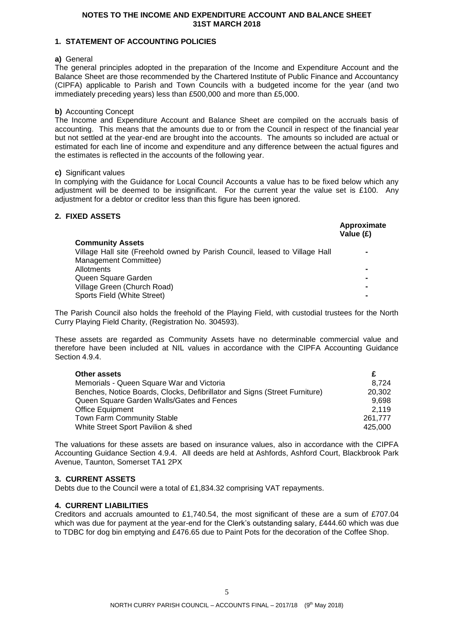#### **NOTES TO THE INCOME AND EXPENDITURE ACCOUNT AND BALANCE SHEET 31ST MARCH 2018**

#### **1. STATEMENT OF ACCOUNTING POLICIES**

#### **a)** General

The general principles adopted in the preparation of the Income and Expenditure Account and the Balance Sheet are those recommended by the Chartered Institute of Public Finance and Accountancy (CIPFA) applicable to Parish and Town Councils with a budgeted income for the year (and two immediately preceding years) less than £500,000 and more than £5,000.

#### **b)** Accounting Concept

The Income and Expenditure Account and Balance Sheet are compiled on the accruals basis of accounting. This means that the amounts due to or from the Council in respect of the financial year but not settled at the year-end are brought into the accounts. The amounts so included are actual or estimated for each line of income and expenditure and any difference between the actual figures and the estimates is reflected in the accounts of the following year.

#### **c)** Significant values

In complying with the Guidance for Local Council Accounts a value has to be fixed below which any adjustment will be deemed to be insignificant. For the current year the value set is £100. Any adjustment for a debtor or creditor less than this figure has been ignored.

### **2. FIXED ASSETS**

| . <i>.</i>                                                                  | Approximate<br>Value (£) |
|-----------------------------------------------------------------------------|--------------------------|
| <b>Community Assets</b>                                                     |                          |
| Village Hall site (Freehold owned by Parish Council, leased to Village Hall |                          |
| Management Committee)                                                       |                          |
| Allotments                                                                  |                          |
| Queen Square Garden                                                         |                          |
| Village Green (Church Road)                                                 |                          |
| Sports Field (White Street)                                                 |                          |

The Parish Council also holds the freehold of the Playing Field, with custodial trustees for the North Curry Playing Field Charity, (Registration No. 304593).

These assets are regarded as Community Assets have no determinable commercial value and therefore have been included at NIL values in accordance with the CIPFA Accounting Guidance Section 4.9.4.

| Other assets                                                               |         |
|----------------------------------------------------------------------------|---------|
| Memorials - Queen Square War and Victoria                                  | 8.724   |
| Benches, Notice Boards, Clocks, Defibrillator and Signs (Street Furniture) | 20.302  |
| Queen Square Garden Walls/Gates and Fences                                 | 9.698   |
| <b>Office Equipment</b>                                                    | 2.119   |
| <b>Town Farm Community Stable</b>                                          | 261.777 |
| White Street Sport Pavilion & shed                                         | 425.000 |

The valuations for these assets are based on insurance values, also in accordance with the CIPFA Accounting Guidance Section 4.9.4. All deeds are held at Ashfords, Ashford Court, Blackbrook Park Avenue, Taunton, Somerset TA1 2PX

#### **3. CURRENT ASSETS**

Debts due to the Council were a total of £1,834.32 comprising VAT repayments.

#### **4. CURRENT LIABILITIES**

Creditors and accruals amounted to £1,740.54, the most significant of these are a sum of £707.04 which was due for payment at the year-end for the Clerk's outstanding salary, £444.60 which was due to TDBC for dog bin emptying and £476.65 due to Paint Pots for the decoration of the Coffee Shop.